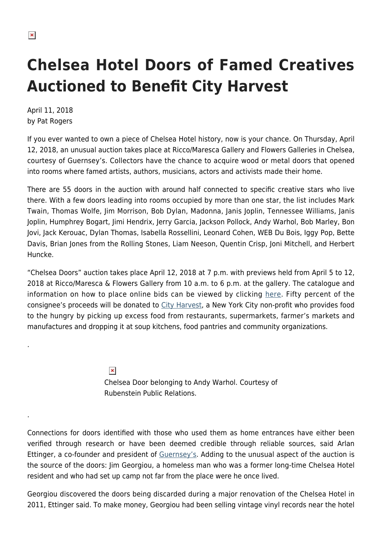.

.

## **Chelsea Hotel Doors of Famed Creatives Auctioned to Benefit City Harvest**

April 11, 2018 by Pat Rogers

If you ever wanted to own a piece of Chelsea Hotel history, now is your chance. On Thursday, April 12, 2018, an unusual auction takes place at Ricco/Maresca Gallery and Flowers Galleries in Chelsea, courtesy of Guernsey's. Collectors have the chance to acquire wood or metal doors that opened into rooms where famed artists, authors, musicians, actors and activists made their home.

There are 55 doors in the auction with around half connected to specific creative stars who live there. With a few doors leading into rooms occupied by more than one star, the list includes Mark Twain, Thomas Wolfe, Jim Morrison, Bob Dylan, Madonna, Janis Joplin, Tennessee Williams, Janis Joplin, Humphrey Bogart, Jimi Hendrix, Jerry Garcia, Jackson Pollock, Andy Warhol, Bob Marley, Bon Jovi, Jack Kerouac, Dylan Thomas, Isabella Rossellini, Leonard Cohen, WEB Du Bois, Iggy Pop, Bette Davis, Brian Jones from the Rolling Stones, Liam Neeson, Quentin Crisp, Joni Mitchell, and Herbert Huncke.

"Chelsea Doors" auction takes place April 12, 2018 at 7 p.m. with previews held from April 5 to 12, 2018 at Ricco/Maresca & Flowers Gallery from 10 a.m. to 6 p.m. at the gallery. The catalogue and information on how to place online bids can be viewed by clicking [here](https://www.guernseys.com/v2/chelsea_doors.html). Fifty percent of the consignee's proceeds will be donated to [City Harvest](https://www.cityharvest.org/our-story/), a New York City non-profit who provides food to the hungry by picking up excess food from restaurants, supermarkets, farmer's markets and manufactures and dropping it at soup kitchens, food pantries and community organizations.

 $\pmb{\times}$ 

Chelsea Door belonging to Andy Warhol. Courtesy of Rubenstein Public Relations.

Connections for doors identified with those who used them as home entrances have either been verified through research or have been deemed credible through reliable sources, said Arlan Ettinger, a co-founder and president of [Guernsey's](https://www.guernseys.com/index.html). Adding to the unusual aspect of the auction is the source of the doors: Jim Georgiou, a homeless man who was a former long-time Chelsea Hotel resident and who had set up camp not far from the place were he once lived.

Georgiou discovered the doors being discarded during a major renovation of the Chelsea Hotel in 2011, Ettinger said. To make money, Georgiou had been selling vintage vinyl records near the hotel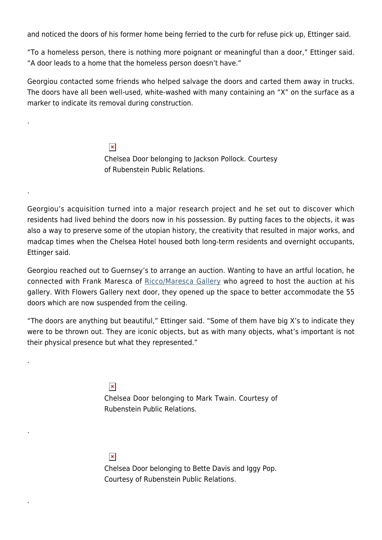and noticed the doors of his former home being ferried to the curb for refuse pick up, Ettinger said.

"To a homeless person, there is nothing more poignant or meaningful than a door," Ettinger said. "A door leads to a home that the homeless person doesn't have."

Georgiou contacted some friends who helped salvage the doors and carted them away in trucks. The doors have all been well-used, white-washed with many containing an "X" on the surface as a marker to indicate its removal during construction.

> $\pmb{\times}$ Chelsea Door belonging to Jackson Pollock. Courtesy of Rubenstein Public Relations.

Georgiou's acquisition turned into a major research project and he set out to discover which residents had lived behind the doors now in his possession. By putting faces to the objects, it was also a way to preserve some of the utopian history, the creativity that resulted in major works, and madcap times when the Chelsea Hotel housed both long-term residents and overnight occupants, Ettinger said.

Georgiou reached out to Guernsey's to arrange an auction. Wanting to have an artful location, he connected with Frank Maresca of [Ricco/Maresca Gallery](https://www.riccomaresca.com/) who agreed to host the auction at his gallery. With Flowers Gallery next door, they opened up the space to better accommodate the 55 doors which are now suspended from the ceiling.

"The doors are anything but beautiful," Ettinger said. "Some of them have big X's to indicate they were to be thrown out. They are iconic objects, but as with many objects, what's important is not their physical presence but what they represented."

 $\pmb{\times}$ 

.

.

.

.

.

Chelsea Door belonging to Mark Twain. Courtesy of Rubenstein Public Relations.

 $\pmb{\times}$ 

Chelsea Door belonging to Bette Davis and Iggy Pop. Courtesy of Rubenstein Public Relations.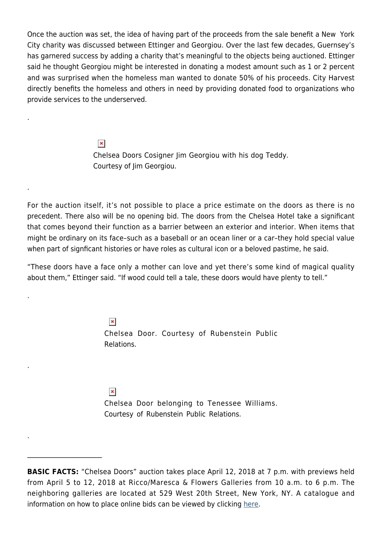Once the auction was set, the idea of having part of the proceeds from the sale benefit a New York City charity was discussed between Ettinger and Georgiou. Over the last few decades, Guernsey's has garnered success by adding a charity that's meaningful to the objects being auctioned. Ettinger said he thought Georgiou might be interested in donating a modest amount such as 1 or 2 percent and was surprised when the homeless man wanted to donate 50% of his proceeds. City Harvest directly benefits the homeless and others in need by providing donated food to organizations who provide services to the underserved.

> $\pmb{\times}$ Chelsea Doors Cosigner Jim Georgiou with his dog Teddy. Courtesy of Jim Georgiou.

For the auction itself, it's not possible to place a price estimate on the doors as there is no precedent. There also will be no opening bid. The doors from the Chelsea Hotel take a significant that comes beyond their function as a barrier between an exterior and interior. When items that might be ordinary on its face–such as a baseball or an ocean liner or a car–they hold special value when part of signficant histories or have roles as cultural icon or a beloved pastime, he said.

"These doors have a face only a mother can love and yet there's some kind of magical quality about them," Ettinger said. "If wood could tell a tale, these doors would have plenty to tell."

 $\pmb{\times}$ 

.

.

.

.

.

 $\mathcal{L}_\text{max}$ 

Chelsea Door. Courtesy of Rubenstein Public Relations.

 $\pmb{\times}$ 

Chelsea Door belonging to Tenessee Williams. Courtesy of Rubenstein Public Relations.

**BASIC FACTS:** "Chelsea Doors" auction takes place April 12, 2018 at 7 p.m. with previews held from April 5 to 12, 2018 at Ricco/Maresca & Flowers Galleries from 10 a.m. to 6 p.m. The neighboring galleries are located at 529 West 20th Street, New York, NY. A catalogue and information on how to place online bids can be viewed by clicking [here.](https://www.guernseys.com/v2/chelsea_doors.html)